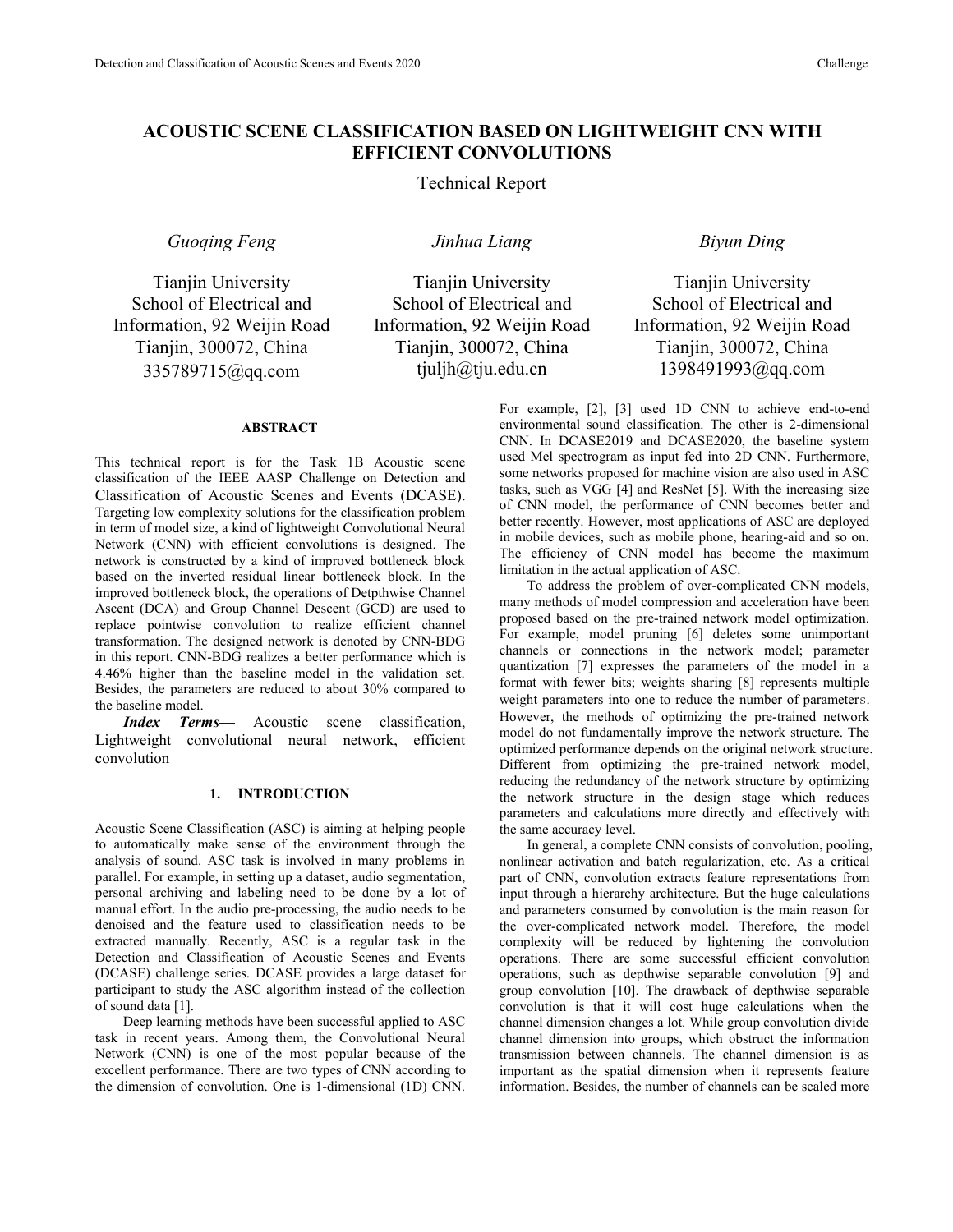# **ACOUSTIC SCENE CLASSIFICATION BASED ON LIGHTWEIGHT CNN WITH EFFICIENT CONVOLUTIONS**

# Technical Report

*Guoqing Feng Jinhua Liang Biyun Ding*

Tianjin University School of Electrical and Information, 92 Weijin Road Tianjin, 300072, China 335789715@qq.com

Tianjin University School of Electrical and Information, 92 Weijin Road Tianjin, 300072, China tjuljh@tju.edu.cn

# **ABSTRACT**

This technical report is for the Task 1B Acoustic scene classification of the IEEE AASP Challenge on Detection and Classification of Acoustic Scenes and Events (DCASE). Targeting low complexity solutions for the classification problem in term of model size, a kind of lightweight Convolutional Neural Network (CNN) with efficient convolutions is designed. The network is constructed by a kind of improved bottleneck block based on the inverted residual linear bottleneck block. In the improved bottleneck block, the operations of Detpthwise Channel Ascent (DCA) and Group Channel Descent (GCD) are used to replace pointwise convolution to realize efficient channel transformation. The designed network is denoted by CNN-BDG in this report.CNN-BDG realizes a better performance which is 4.46% higher than the baseline model in the validation set. Besides, the parameters are reduced to about 30% compared to the baseline model.

*Index Terms—* Acoustic scene classification, Lightweight convolutional neural network, efficient convolution

# **1. INTRODUCTION**

Acoustic Scene Classification (ASC) is aiming at helping people to automatically make sense of the environment through the analysis of sound. ASC task is involved in many problems in parallel. For example, in setting up a dataset, audio segmentation, personal archiving and labeling need to be done by a lot of manual effort. In the audio pre-processing, the audio needs to be denoised and the feature used to classification needs to be extracted manually. Recently, ASC is a regular task in the Detection and Classification of Acoustic Scenes and Events (DCASE) challenge series. DCASE provides a large dataset for participant to study the ASC algorithm instead of the collection of sound data [1].

Deep learning methods have been successful applied to ASC task in recent years. Among them, the Convolutional Neural Network (CNN) is one of the most popular because of the excellent performance. There are two types of CNN according to the dimension of convolution. One is 1-dimensional (1D) CNN. For example, [2], [3] used 1D CNN to achieve end-to-end environmental sound classification. The other is 2-dimensional CNN. In DCASE2019 and DCASE2020, the baseline system used Mel spectrogram as input fed into 2D CNN. Furthermore, some networks proposed for machine vision are also used in ASC tasks, such as VGG [4] and ResNet [5]. With the increasing size of CNN model, the performance of CNN becomes better and better recently. However, most applications of ASC are deployed in mobile devices, such as mobile phone, hearing-aid and so on. The efficiency of CNN model has become the maximum

limitation in the actual application of ASC. To address the problem of over-complicated CNN models, many methods of model compression and acceleration have been proposed based on the pre-trained network model optimization. For example, model pruning [6] deletes some unimportant channels or connections in the network model; parameter quantization [7] expresses the parameters of the model in a format with fewer bits; weights sharing [8] represents multiple weight parameters into one to reduce the number of parameters. However, the methods of optimizing the pre-trained network model do not fundamentally improve the network structure. The optimized performance depends on the original network structure. Different from optimizing the pre-trained network model, reducing the redundancy of the network structure by optimizing the network structure in the design stage which reduces parameters and calculations more directly and effectively with the same accuracy level.

In general, a complete CNN consists of convolution, pooling, nonlinear activation and batch regularization, etc. As a critical part of CNN, convolution extracts feature representations from input through a hierarchy architecture. But the huge calculations and parameters consumed by convolution is the main reason for complexity will be reduced by lightening the convolution operations. There are some successful efficient convolution operations, such as depthwise separable convolution [9] and group convolution [10]. The drawback of depthwise separable convolution is that it will cost huge calculations when the channel dimension changes a lot. While group convolution divide channel dimension into groups, which obstruct the information transmission between channels. The channel dimension is as important as the spatial dimension when it represents feature information. Besides, the number of channels can be scaled more

Tianjin University School of Electrical and Information, 92 Weijin Road Tianjin, 300072, China 1398491993@qq.com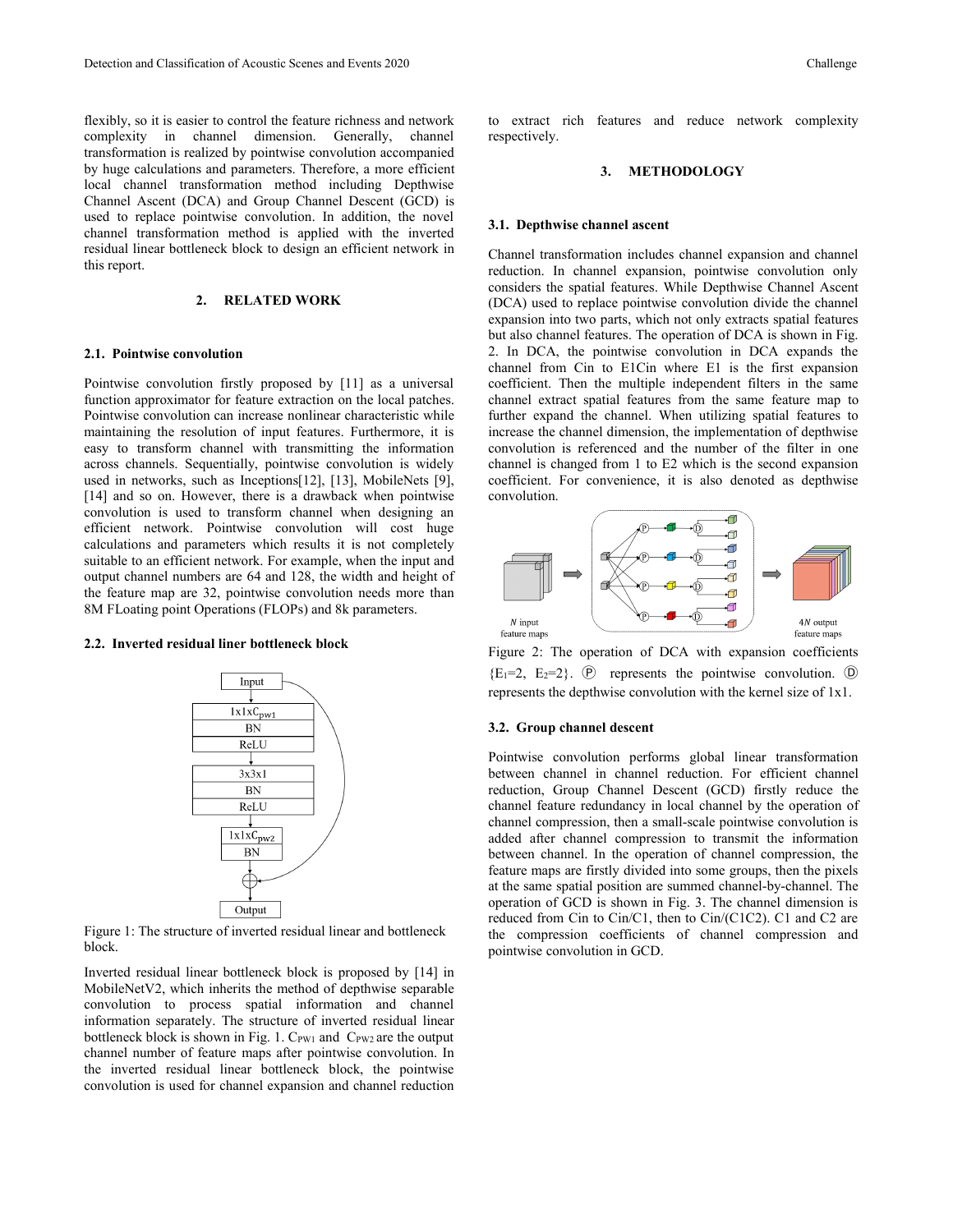flexibly, so it is easier to control the feature richness and network complexity in channel dimension. Generally, channel transformation is realized by pointwise convolution accompanied by huge calculations and parameters. Therefore, a more efficient local channel transformation method including Depthwise Channel Ascent (DCA) and Group Channel Descent (GCD) is used to replace pointwise convolution. In addition, the novel channel transformation method is applied with the inverted residual linear bottleneck block to design an efficient network in this report.

# **2. RELATED WORK**

#### **2.1. Pointwise convolution**

Pointwise convolution firstly proposed by [11] as a universal function approximator for feature extraction on the local patches. Pointwise convolution can increase nonlinear characteristic while maintaining the resolution of input features. Furthermore, it is easy to transform channel with transmitting the information across channels. Sequentially, pointwise convolution is widely used in networks, such as Inceptions[12], [13], MobileNets [9], [14] and so on. However, there is a drawback when pointwise convolution is used to transform channel when designing an efficient network. Pointwise convolution will cost huge calculations and parameters which results it is not completely suitable to an efficient network. For example, when the input and output channel numbers are 64 and 128, the width and height of the feature map are 32, pointwise convolution needs more than 8M FLoating point Operations (FLOPs) and 8k parameters.

#### **2.2. Inverted residual liner bottleneck block**



Figure 1: The structure of inverted residual linear and bottleneck block.

Inverted residual linear bottleneck block is proposed by [14] in MobileNetV2, which inherits the method of depthwise separable convolution to process spatial information and channel information separately. The structure of inverted residual linear bottleneck block is shown in Fig. 1.  $C_{PW1}$  and  $C_{PW2}$  are the output channel number of feature maps after pointwise convolution. In the inverted residual linear bottleneck block, the pointwise convolution is used for channel expansion and channel reduction

to extract rich features and reduce network complexity respectively.

# **3. METHODOLOGY**

#### **3.1. Depthwise channel ascent**

Channel transformation includes channel expansion and channel reduction. In channel expansion, pointwise convolution only considers the spatial features. While Depthwise Channel Ascent (DCA) used to replace pointwise convolution divide the channel expansion into two parts, which not only extracts spatial features but also channel features. The operation of DCA is shown in Fig. 2. In DCA, the pointwise convolution in DCA expands the channel from Cin to E1Cin where E1 is the first expansion coefficient. Then the multiple independent filters in the same channel extract spatial features from the same feature map to further expand the channel. When utilizing spatial features to increase the channel dimension, the implementation of depthwise convolution is referenced and the number of the filter in one channel is changed from 1 to E2 which is the second expansion coefficient. For convenience, it is also denoted as depthwise convolution.



Figure 2: The operation of DCA with expansion coefficients  ${E_1=2, E_2=2}$ .  $\Theta$  represents the pointwise convolution.  $\Theta$ represents the depthwise convolution with the kernel size of 1x1.

# **3.2. Group channel descent**

Pointwise convolution performs global linear transformation between channel in channel reduction. For efficient channel reduction, Group Channel Descent (GCD) firstly reduce the channel feature redundancy in local channel by the operation of channel compression, then a small-scale pointwise convolution is added after channel compression to transmit the information between channel. In the operation of channel compression, the feature maps are firstly divided into some groups, then the pixels at the same spatial position are summed channel-by-channel. The operation of GCD is shown in Fig. 3. The channel dimension is reduced from Cin to Cin/C1, then to Cin/(C1C2). C1 and C2 are the compression coefficients of channel compression and pointwise convolution in GCD.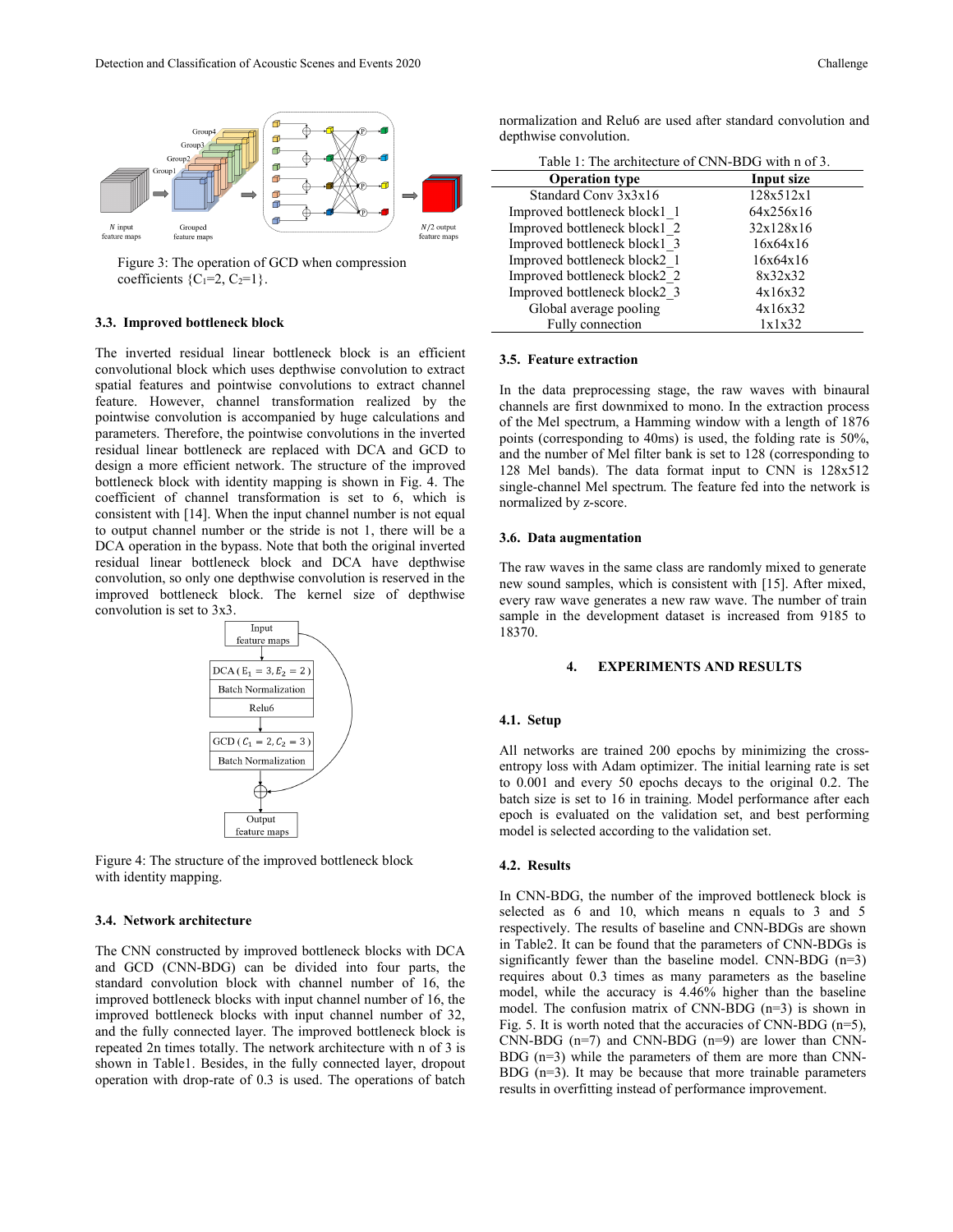

Figure 3: The operation of GCD when compression coefficients  ${C_1=2, C_2=1}$ .

### **3.3. Improved bottleneck block**

The inverted residual linear bottleneck block is an efficient convolutional block which uses depthwise convolution to extract spatial features and pointwise convolutions to extract channel feature. However, channel transformation realized by the pointwise convolution is accompanied by huge calculations and parameters. Therefore, the pointwise convolutions in the inverted residual linear bottleneck are replaced with DCA and GCD to design a more efficient network. The structure of the improved bottleneck block with identity mapping is shown in Fig. 4. The coefficient of channel transformation is set to 6, which is consistent with [14]. When the input channel number is not equal to output channel number or the stride is not 1, there will be a DCA operation in the bypass. Note that both the original inverted residual linear bottleneck block and DCA have depthwise convolution, so only one depthwise convolution is reserved in the improved bottleneck block. The kernel size of depthwise convolution is set to 3x3.



Figure 4: The structure of the improved bottleneck block with identity mapping.

### **3.4. Network architecture**

The CNN constructed by improved bottleneck blocks with DCA and GCD (CNN-BDG) can be divided into four parts, the standard convolution block with channel number of 16, the improved bottleneck blocks with input channel number of 16, the improved bottleneck blocks with input channel number of 32, and the fully connected layer. The improved bottleneck block is repeated 2n times totally. The network architecture with n of 3 is shown in Table1. Besides, in the fully connected layer, dropout operation with drop-rate of 0.3 is used. The operations of batch

| Table 1: The architecture of CNN-BDG with n of 3. |            |
|---------------------------------------------------|------------|
| <b>Operation type</b>                             | Input size |
| Standard Conv 3x3x16                              | 128x512x1  |
| Improved bottleneck block1 1                      | 64x256x16  |
| Improved bottleneck block1 2                      | 32x128x16  |
| Improved bottleneck block1 3                      | 16x64x16   |
| Improved bottleneck block2 1                      | 16x64x16   |
| Improved bottleneck block2 2                      | 8x32x32    |
| Improved bottleneck block2 3                      | 4x16x32    |
| Global average pooling                            | 4x16x32    |
| Fully connection                                  | 1x1x32     |

normalization and Relu6 are used after standard convolution and depthwise convolution.

#### **3.5. Feature extraction**

In the data preprocessing stage, the raw waves with binaural channels are first downmixed to mono. In the extraction process of the Mel spectrum, a Hamming window with a length of 1876 points (corresponding to 40ms) is used, the folding rate is 50%, and the number of Mel filter bank is set to 128 (corresponding to 128 Mel bands). The data format input to CNN is 128x512 single-channel Mel spectrum. The feature fed into the network is normalized by z-score.

#### **3.6. Data augmentation**

The raw waves in the same class are randomly mixed to generate new sound samples, which is consistent with [15]. After mixed, every raw wave generates a new raw wave. The number of train sample in the development dataset is increased from 9185 to 18370.

# **4. EXPERIMENTS AND RESULTS**

#### **4.1. Setup**

All networks are trained 200 epochs by minimizing the cross entropy loss with Adam optimizer. The initial learning rate is set to 0.001 and every 50 epochs decays to the original 0.2. The batch size is set to 16 in training. Model performance after each epoch is evaluated on the validation set, and best performing model is selected according to the validation set.

#### **4.2. Results**

In CNN-BDG, the number of the improved bottleneck block is selected as 6 and 10, which means n equals to 3 and 5 respectively. The results of baseline and CNN-BDGs are shown in Table2. It can be found that the parameters of CNN-BDGs is significantly fewer than the baseline model. CNN-BDG (n=3) requires about 0.3 times as many parameters as the baseline model, while the accuracy is 4.46% higher than the baseline model. The confusion matrix of CNN-BDG (n=3) is shown in Fig. 5. It is worth noted that the accuracies of CNN-BDG ( $n=5$ ), CNN-BDG  $(n=7)$  and CNN-BDG  $(n=9)$  are lower than CNN-BDG  $(n=3)$  while the parameters of them are more than CNN-BDG (n=3). It may be because that more trainable parameters results in overfitting instead of performance improvement.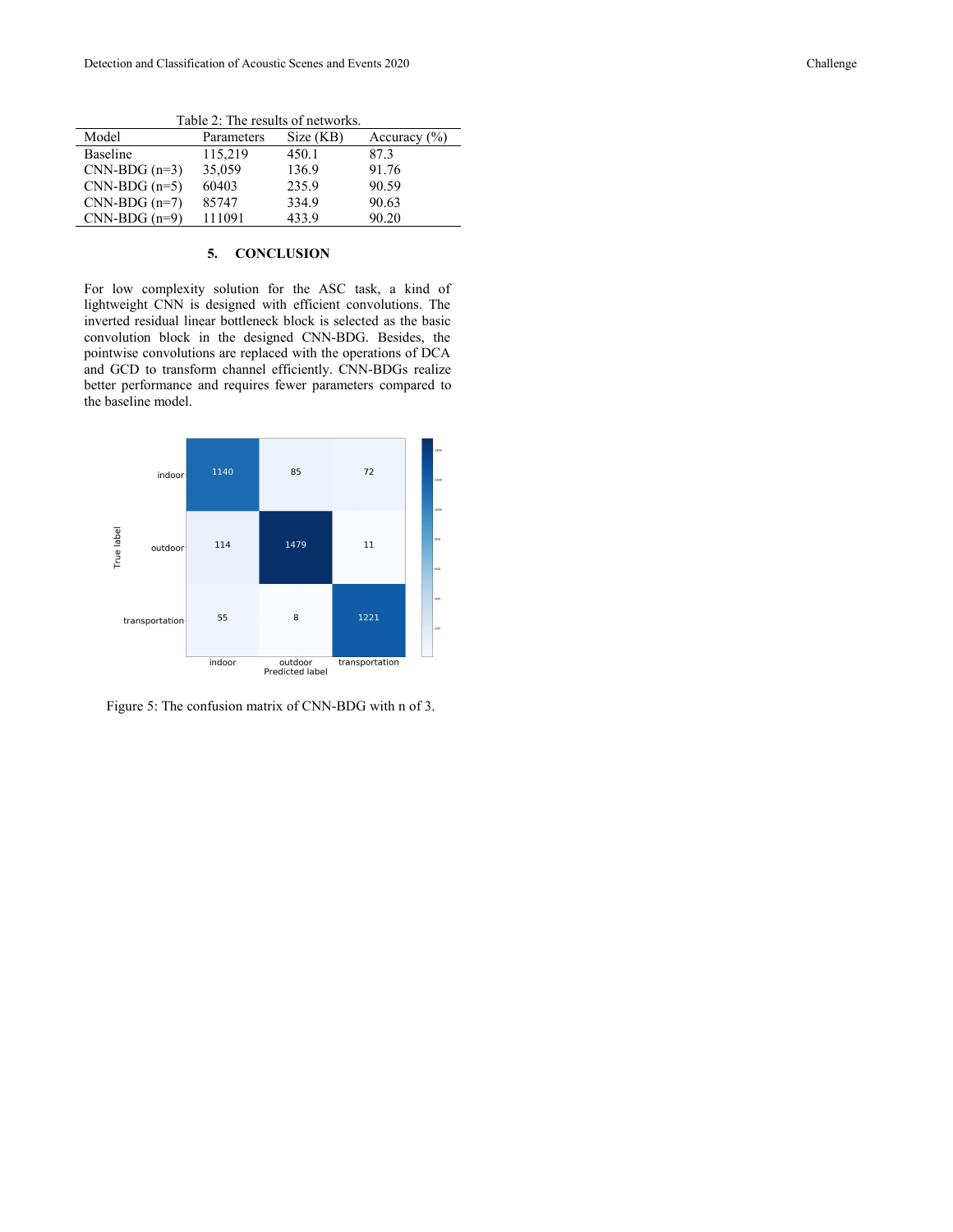Model Parameters Size (KB) Accuracy (%)<br>Baseline 115,219 450.1 87.3 Baseline 115,219 450.1 87.3<br>CNN-BDG (n=3) 35,059 136.9 91.76  $CNN-BDG(n=3)$ CNN-BDG (n=5) 60403 235.9 90.59 CNN-BDG (n=7) 85747 334.9 90.63<br>CNN-BDG (n=9) 111091 433.9 90.20  $CNN-BDG(n=9)$ 

Table 2: The results of networks.

# **5. CONCLUSION**

For low complexity solution for the ASC task, a kind of lightweight CNN is designed with efficient convolutions. The inverted residual linear bottleneck block is selected as the basic convolution block in the designed CNN-BDG. Besides, the pointwise convolutions are replaced with the operations of DCA and GCD to transform channel efficiently. CNN-BDGs realize better performance and requires fewer parameters compared to the baseline model.



Figure 5: The confusion matrix of CNN-BDG with n of 3.